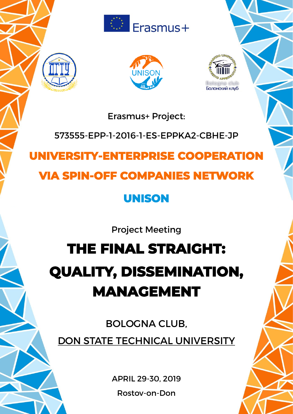





Erasmus+ Project:

# 573555-EPP-1-2016-1-ES-EPPKA2-CBHE-JP

# **UNIVERSITY-ENTERPRISE COOPERATION**

# **VIA SPIN-OFF COMPANIES NETWORK**

# **UNISON**

Project Meeting

# **THE FINAL STRAIGHT: QUALITY, DISSEMINATION, MANAGEMENT**

BOLOGNA CLUB, DON STATE TECHNICAL UNIVERSITY

APRIL 29-30, 2019

Rostov-on-Don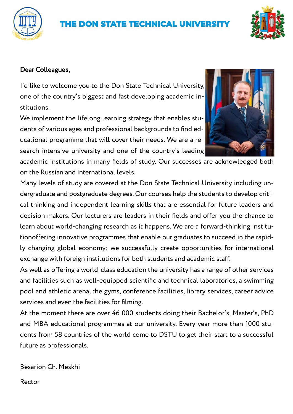# **THE DON STATE TECHNICAL UNIVERSITY**



### Dear Colleagues,

I'd like to welcome you to the Don State Technical University, one of the country's biggest and fast developing academic institutions.

We implement the lifelong learning strategy that enables students of various ages and professional backgrounds to find educational programme that will cover their needs. We are a research-intensive university and one of the country's leading



academic institutions in many fields of study. Our successes are acknowledged both on the Russian and international levels.

Many levels of study are covered at the Don State Technical University including undergraduate and postgraduate degrees. Our courses help the students to develop critical thinking and independent learning skills that are essential for future leaders and decision makers. Our lecturers are leaders in their fields and offer you the chance to learn about world-changing research as it happens. We are a forward-thinking institutionoffering innovative programmes that enable our graduates to succeed in the rapidly changing global economy; we successfully create opportunities for international exchange with foreign institutions for both students and academic staff.

As well as offering a world-class education the university has a range of other services and facilities such as well-equipped scientific and technical laboratories, a swimming pool and athletic arena, the gyms, conference facilities, library services, career advice services and even the facilities for filming.

At the moment there are over 46 000 students doing their Bachelor's, Master's, PhD and MBA educational programmes at our university. Every year more than 1000 students from 58 countries of the world come to DSTU to get their start to a successful future as professionals.

Besarion Ch. Meskhi

Rector

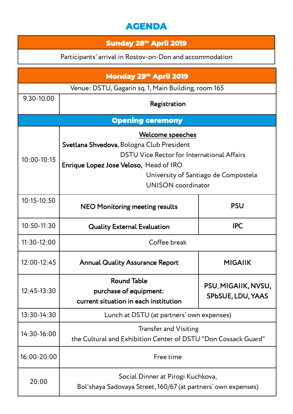## **AGENDA**

### **Sunday 28th April 2019**

Participants' arrival in Rostov-on-Don and accommodation

| <b>Monday 29th April 2019</b>                       |                                                                                                                                                                                                                            |                                          |  |
|-----------------------------------------------------|----------------------------------------------------------------------------------------------------------------------------------------------------------------------------------------------------------------------------|------------------------------------------|--|
| Venue: DSTU, Gagarin sq. 1, Main Building, room 165 |                                                                                                                                                                                                                            |                                          |  |
| 9.30-10.00                                          | Registration                                                                                                                                                                                                               |                                          |  |
| <b>Opening ceremony</b>                             |                                                                                                                                                                                                                            |                                          |  |
| $10:00 - 10:15$                                     | Welcome speeches<br>Svetlana Shvedova, Bologna Club President<br>DSTU Vice Rector for International Affairs<br>Enrique Lopez Jose Veloso, Head of IRO<br>University of Santiago de Compostela<br><b>UNISON</b> coordinator |                                          |  |
| 10:15-10:50                                         | <b>NEO Monitoring meeting results</b>                                                                                                                                                                                      | <b>PSU</b>                               |  |
| 10:50-11:30                                         | <b>Quality External Evaluation</b>                                                                                                                                                                                         | <b>IPC</b>                               |  |
| $11:30-12:00$                                       | Coffee break                                                                                                                                                                                                               |                                          |  |
| 12:00-12:45                                         | <b>Annual Quality Assurance Report</b>                                                                                                                                                                                     | <b>MIGAIIK</b>                           |  |
| 12:45-13:30                                         | <b>Round Table</b><br>purchase of equipment:<br>current situation in each institution                                                                                                                                      | PSU, MIGAIIK, NVSU,<br>SPbSUE, LDU, YAAS |  |
| 13:30-14:30                                         | Lunch at DSTU (at partners' own expenses)                                                                                                                                                                                  |                                          |  |
| 14:30-16:00                                         | <b>Transfer and Visiting</b><br>the Cultural and Exhibition Center of DSTU "Don Cossack Guard"                                                                                                                             |                                          |  |
| 16:00-20:00                                         | Free time                                                                                                                                                                                                                  |                                          |  |
| 20:00                                               | Social Dinner at Pirogi Kuchkova,<br>Bol'shaya Sadovaya Street, 160/67 (at partners' own expenses)                                                                                                                         |                                          |  |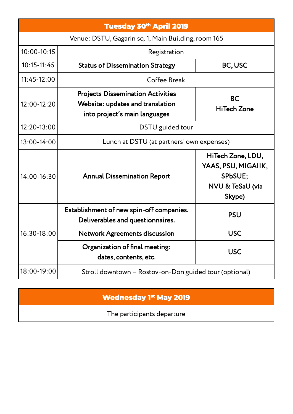| <b>Tuesday 30th April 2019</b>                      |                                                                                                               |                                                                                   |  |
|-----------------------------------------------------|---------------------------------------------------------------------------------------------------------------|-----------------------------------------------------------------------------------|--|
| Venue: DSTU, Gagarin sq. 1, Main Building, room 165 |                                                                                                               |                                                                                   |  |
| $10:00 - 10:15$                                     | Registration                                                                                                  |                                                                                   |  |
| $10:15 - 11:45$                                     | <b>Status of Dissemination Strategy</b>                                                                       | BC, USC                                                                           |  |
| 11:45-12:00                                         | Coffee Break                                                                                                  |                                                                                   |  |
| 12:00-12:20                                         | <b>Projects Dissemination Activities</b><br>Website: updates and translation<br>into project's main languages | <b>BC</b><br><b>HiTech Zone</b>                                                   |  |
| 12:20-13:00                                         | DSTU guided tour                                                                                              |                                                                                   |  |
| 13:00-14:00                                         | Lunch at DSTU (at partners' own expenses)                                                                     |                                                                                   |  |
| 14:00-16:30                                         | <b>Annual Dissemination Report</b>                                                                            | HiTech Zone, LDU,<br>YAAS, PSU, MIGAIIK,<br>SPbSUE;<br>NVU & TeSaU (via<br>Skype) |  |
| 16:30-18:00                                         | Establishment of new spin-off companies.<br>Deliverables and questionnaires.                                  | <b>PSU</b>                                                                        |  |
|                                                     | <b>Network Agreements discussion</b>                                                                          | <b>USC</b>                                                                        |  |
|                                                     | Organization of final meeting:<br>dates, contents, etc.                                                       | <b>USC</b>                                                                        |  |
| 18:00-19:00                                         | Stroll downtown - Rostov-on-Don guided tour (optional)                                                        |                                                                                   |  |

### **Wednesday 1st May 2019**

The participants departure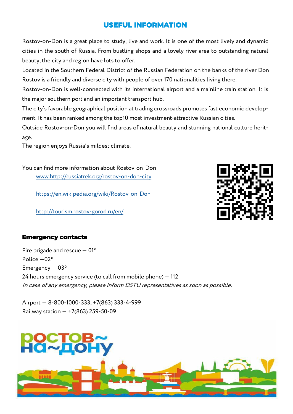### **USEFUL INFORMATION**

Rostov-on-Don is a great place to study, live and work. It is one of the most lively and dynamic cities in the south of Russia. From bustling shops and a lovely river area to outstanding natural beauty, the city and region have lots to offer.

Located in the Southern Federal District of the Russian Federation on the banks of the river Don Rostov is a friendly and diverse city with people of over 170 nationalities living there.

Rostov-on-Don is well-connected with its international airport and a mainline train station. It is the major southern port and an important transport hub.

The city's favorable geographical position at trading crossroads promotes fast economic development. It has been ranked among the top10 most investment-attractive Russian cities.

Outside Rostov-on-Don you will find areas of natural beauty and stunning national culture heritage.

The region enjoys Russia's mildest climate.

You can find more information about Rostov-on-Don [www.http://russiatrek.org/rostov](http://www.http:/russiatrek.org/rostov-on-don-city)-on-don-city

[https://en.wikipedia.org/wiki/Rostov](https://en.wikipedia.org/wiki/Rostov-on-Don)-on-Don

[http://tourism.rostov](http://tourism.rostov-gorod.ru/en/)-gorod.ru/en/



#### **Emergency contacts**

Fire brigade and rescue  $-01$ <sup>\*</sup> Police —02\* Emergency  $-03$ <sup>\*</sup> 24 hours emergency service (to call from mobile phone) — 112 In case of any emergency, please inform DSTU representatives as soon as possible.

Airport — 8-800-1000-333, +7(863) 333-4-999 Railway station — +7(863) 259-50-09

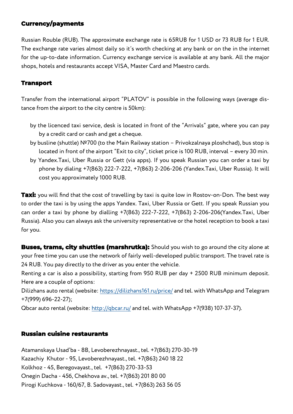### **Currency/payments**

Russian Rouble (RUB). The approximate exchange rate is 65RUB for 1 USD or 73 RUB for 1 EUR. The exchange rate varies almost daily so it's worth checking at any bank or on the in the internet for the up-to-date information. Currency exchange service is available at any bank. All the major shops, hotels and restaurants accept VISA, Master Card and Maestro cards.

#### **Transport**

Transfer from the international airport "PLATOV" is possible in the following ways (average distance from the airport to the city centre is 50km):

- by the licenced taxi service, desk is located in front of the "Arrivals" gate, where you can pay by a credit card or cash and get a cheque.
- by busline (shuttle) №700 (to the Main Railway station Privokzalnaya ploshchad), bus stop is located in front of the airport "Exit to city", ticket price is 100 RUB, interval – every 30 min.
- by Yandex.Taxi, Uber Russia or Gett (via apps). If you speak Russian you can order a taxi by phone by dialing +7(863) 222-7-222, +7(863) 2-206-206 (Yandex.Taxi, Uber Russia). It will cost you approximately 1000 RUB.

**Taxi:** you will find that the cost of travelling by taxi is quite low in Rostov-on-Don. The best way to order the taxi is by using the apps Yandex. Taxi, Uber Russia or Gett. If you speak Russian you can order a taxi by phone by dialling +7(863) 222-7-222, +7(863) 2-206-206(Yandex.Taxi, Uber Russia). Also you can always ask the university representative or the hotel reception to book a taxi for you.

**Buses, trams, city shuttles (marshrutka):** Should you wish to go around the city alone at your free time you can use the network of fairly well-developed public transport. The travel rate is 24 RUB. You pay directly to the driver as you enter the vehicle.

Renting a car is also a possibility, starting from 950 RUB per day + 2500 RUB minimum deposit. Here are a couple of options:

Dilizhans auto rental (website:<https://dilizhans161.ru/price/> and tel. with WhatsApp and Telegram +7(999) 696-22-27);

Qbcar auto rental (website:<http://qbcar.ru/> and tel. with WhatsApp +7(938) 107-37-37).

#### **Russian cuisine restaurants**

Atamanskaya Usad'ba - 8В, Levoberezhnayast., tel. +7(863) 270-30-19 Kazachiy Khutor - 95, Levoberezhnayast., tel. +7(863) 240 18 22 Kolkhoz - 45, Beregovayast., tel. +7(863) 270-33-53 Onegin Dacha - 45б, Chekhova av., tel. +7(863) 201 80 00 Pirogi Kuchkova - 160/67, B. Sadovayast., tel. +7(863) 263 56 05